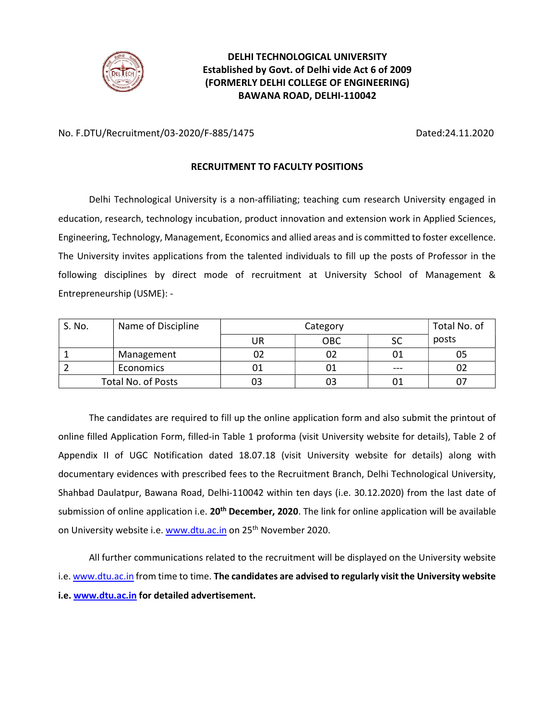

## DELHI TECHNOLOGICAL UNIVERSITY Established by Govt. of Delhi vide Act 6 of 2009 (FORMERLY DELHI COLLEGE OF ENGINEERING) BAWANA ROAD, DELHI-110042

No. F.DTU/Recruitment/03-2020/F-885/1475 Dated:24.11.2020

### RECRUITMENT TO FACULTY POSITIONS

Delhi Technological University is a non-affiliating; teaching cum research University engaged in education, research, technology incubation, product innovation and extension work in Applied Sciences, Engineering, Technology, Management, Economics and allied areas and is committed to foster excellence. The University invites applications from the talented individuals to fill up the posts of Professor in the following disciplines by direct mode of recruitment at University School of Management & Entrepreneurship (USME): -

| S. No. | Name of Discipline | Category |     |         | Total No. of |
|--------|--------------------|----------|-----|---------|--------------|
|        |                    | UR       | OBC | SC      | posts        |
|        | Management         | 02       | 02  | 01      | 05           |
|        | Economics          | υ1       | 01  | $- - -$ |              |
|        | Total No. of Posts | ევ       | 03  | 01      |              |

The candidates are required to fill up the online application form and also submit the printout of online filled Application Form, filled-in Table 1 proforma (visit University website for details), Table 2 of Appendix II of UGC Notification dated 18.07.18 (visit University website for details) along with documentary evidences with prescribed fees to the Recruitment Branch, Delhi Technological University, Shahbad Daulatpur, Bawana Road, Delhi-110042 within ten days (i.e. 30.12.2020) from the last date of submission of online application i.e. 20<sup>th</sup> December, 2020. The link for online application will be available on University website i.e. www.dtu.ac.in on 25<sup>th</sup> November 2020.

All further communications related to the recruitment will be displayed on the University website i.e. www.dtu.ac.in from time to time. The candidates are advised to regularly visit the University website i.e. www.dtu.ac.in for detailed advertisement.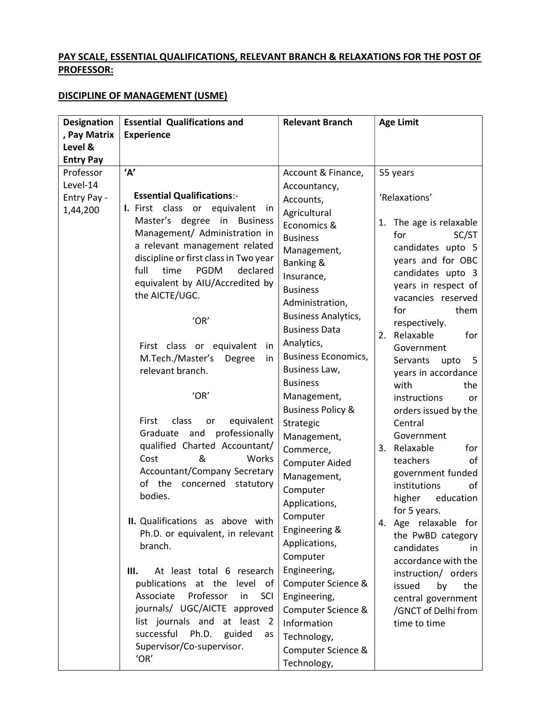## PAY SCALE, ESSENTIAL QUALIFICATIONS, RELEVANT BRANCH & RELAXATIONS FOR THE POST OF PROFESSOR:

# DISCIPLINE OF MANAGEMENT (USME)

| <b>Designation</b><br>, Pay Matrix<br>Level &    | <b>Essential Qualifications and</b><br><b>Experience</b>                                                                                                                                                                                              | <b>Relevant Branch</b>                                                                                                                      | <b>Age Limit</b>                                                                                                                                                                               |
|--------------------------------------------------|-------------------------------------------------------------------------------------------------------------------------------------------------------------------------------------------------------------------------------------------------------|---------------------------------------------------------------------------------------------------------------------------------------------|------------------------------------------------------------------------------------------------------------------------------------------------------------------------------------------------|
| <b>Entry Pay</b>                                 |                                                                                                                                                                                                                                                       |                                                                                                                                             |                                                                                                                                                                                                |
| Professor<br>Level-14<br>Entry Pay -<br>1,44,200 | 'A'<br><b>Essential Qualifications:-</b><br>I. First class or equivalent<br>in<br>Master's degree in Business<br>Management/ Administration in                                                                                                        | Account & Finance,<br>Accountancy,<br>Accounts,<br>Agricultural<br>Economics &<br><b>Business</b>                                           | 55 years<br>'Relaxations'<br>1. The age is relaxable<br>for<br>SC/ST                                                                                                                           |
|                                                  | a relevant management related<br>discipline or first class in Two year<br>full<br>time<br><b>PGDM</b><br>declared<br>equivalent by AIU/Accredited by<br>the AICTE/UGC.                                                                                | Management,<br>Banking &<br>Insurance,<br><b>Business</b><br>Administration,                                                                | candidates upto 5<br>years and for OBC<br>candidates upto 3<br>years in respect of<br>vacancies reserved<br>for<br>them                                                                        |
|                                                  | 'OR'<br>First class or equivalent<br>in<br>M.Tech./Master's<br>Degree<br>in                                                                                                                                                                           | <b>Business Analytics,</b><br><b>Business Data</b><br>Analytics,<br><b>Business Economics,</b>                                              | respectively.<br>2. Relaxable<br>for<br>Government                                                                                                                                             |
|                                                  | relevant branch.<br>'OR'                                                                                                                                                                                                                              | Business Law,<br><b>Business</b><br>Management,                                                                                             | Servants<br>upto<br>5<br>years in accordance<br>with<br>the                                                                                                                                    |
|                                                  | First<br>class<br>equivalent<br>or<br>professionally<br>Graduate and<br>qualified Charted Accountant/<br>&<br>Works<br>Cost<br>Accountant/Company Secretary<br>of the<br>concerned<br>statutory<br>bodies.                                            | <b>Business Policy &amp;</b><br>Strategic<br>Management,<br>Commerce,<br><b>Computer Aided</b><br>Management,<br>Computer<br>Applications,  | instructions<br>or<br>orders issued by the<br>Central<br>Government<br>3. Relaxable<br>for<br>teachers<br>of<br>government funded<br>institutions<br>оf<br>higher<br>education<br>for 5 years. |
|                                                  | II. Qualifications as above with<br>Ph.D. or equivalent, in relevant<br>branch.                                                                                                                                                                       | Computer<br>Engineering &<br>Applications,<br>Computer                                                                                      | 4. Age relaxable for<br>the PwBD category<br>candidates<br>in.<br>accordance with the                                                                                                          |
|                                                  | Ш.<br>At least total 6 research<br>publications at the level<br>οf<br>Professor<br>Associate<br>SCI<br>in<br>journals/ UGC/AICTE approved<br>list journals and at least 2<br>successful<br>Ph.D.<br>guided<br>as<br>Supervisor/Co-supervisor.<br>'OR' | Engineering,<br>Computer Science &<br>Engineering,<br>Computer Science &<br>Information<br>Technology,<br>Computer Science &<br>Technology, | instruction/ orders<br>issued<br>by<br>the<br>central government<br>/GNCT of Delhi from<br>time to time                                                                                        |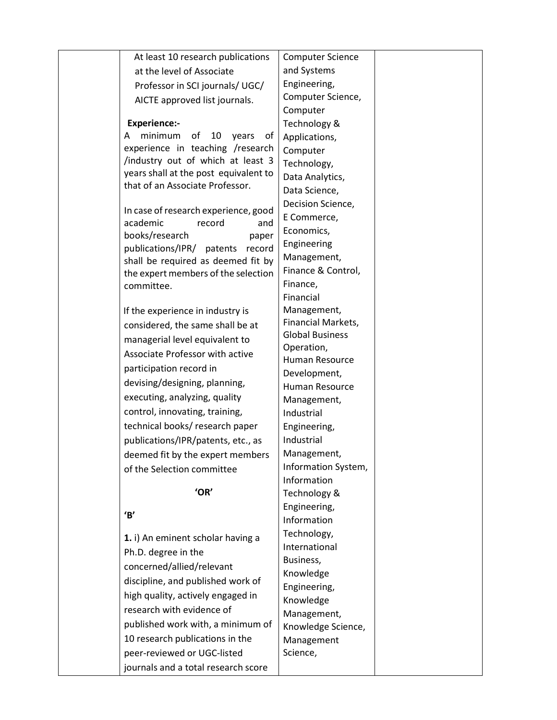|                         | At least 10 research publications     | <b>Computer Science</b>              |  |
|-------------------------|---------------------------------------|--------------------------------------|--|
|                         | at the level of Associate             | and Systems                          |  |
|                         | Professor in SCI journals/ UGC/       | Engineering,                         |  |
|                         | AICTE approved list journals.         | Computer Science,                    |  |
|                         |                                       | Computer                             |  |
| <b>Experience:-</b>     |                                       | Technology &                         |  |
| minimum<br>A            | of<br>10<br>years<br>οf               | Applications,                        |  |
|                         | experience in teaching /research      | Computer                             |  |
|                         | /industry out of which at least 3     | Technology,                          |  |
|                         | years shall at the post equivalent to | Data Analytics,                      |  |
|                         | that of an Associate Professor.       | Data Science,                        |  |
|                         |                                       | Decision Science,                    |  |
| academic                | In case of research experience, good  | E Commerce,                          |  |
| books/research          | record<br>and<br>paper                | Economics,                           |  |
| publications/IPR/       | patents<br>record                     | Engineering                          |  |
|                         | shall be required as deemed fit by    | Management,                          |  |
|                         | the expert members of the selection   | Finance & Control,                   |  |
| committee.              |                                       | Finance,                             |  |
|                         |                                       | Financial                            |  |
|                         | If the experience in industry is      | Management,                          |  |
|                         | considered, the same shall be at      | Financial Markets,                   |  |
|                         | managerial level equivalent to        | <b>Global Business</b><br>Operation, |  |
|                         | Associate Professor with active       | Human Resource                       |  |
| participation record in |                                       | Development,                         |  |
|                         | devising/designing, planning,         | Human Resource                       |  |
|                         | executing, analyzing, quality         | Management,                          |  |
|                         | control, innovating, training,        | Industrial                           |  |
|                         | technical books/ research paper       | Engineering,                         |  |
|                         | publications/IPR/patents, etc., as    | Industrial                           |  |
|                         | deemed fit by the expert members      | Management,                          |  |
|                         | of the Selection committee            | Information System,                  |  |
|                         |                                       | Information                          |  |
|                         | 'OR'                                  | Technology &                         |  |
| B'                      |                                       | Engineering,                         |  |
|                         |                                       | Information                          |  |
|                         | 1. i) An eminent scholar having a     | Technology,                          |  |
| Ph.D. degree in the     |                                       | International                        |  |
|                         | concerned/allied/relevant             | Business,                            |  |
|                         | discipline, and published work of     | Knowledge<br>Engineering,            |  |
|                         | high quality, actively engaged in     | Knowledge                            |  |
|                         | research with evidence of             | Management,                          |  |
|                         | published work with, a minimum of     | Knowledge Science,                   |  |
|                         | 10 research publications in the       | Management                           |  |
|                         | peer-reviewed or UGC-listed           | Science,                             |  |
|                         | journals and a total research score   |                                      |  |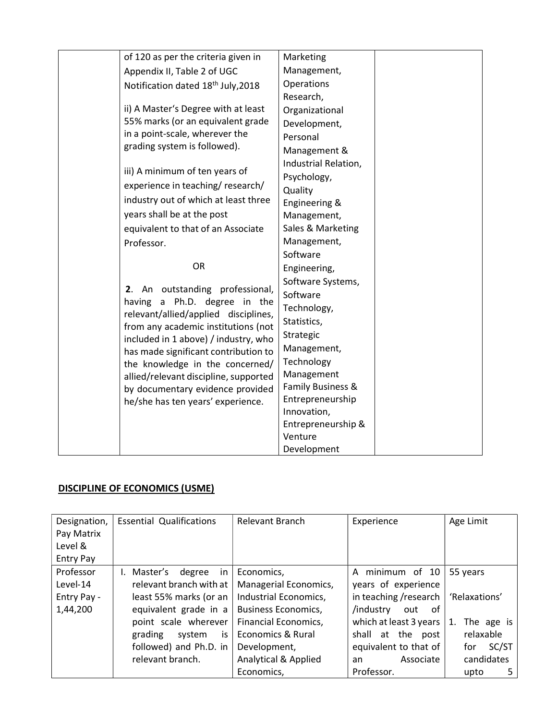| of 120 as per the criteria given in   | Marketing                     |
|---------------------------------------|-------------------------------|
| Appendix II, Table 2 of UGC           | Management,                   |
| Notification dated 18th July, 2018    | Operations                    |
|                                       | Research,                     |
| ii) A Master's Degree with at least   | Organizational                |
| 55% marks (or an equivalent grade     | Development,                  |
| in a point-scale, wherever the        | Personal                      |
| grading system is followed).          | Management &                  |
|                                       | Industrial Relation,          |
| iii) A minimum of ten years of        | Psychology,                   |
| experience in teaching/research/      | Quality                       |
| industry out of which at least three  | Engineering &                 |
| years shall be at the post            | Management,                   |
| equivalent to that of an Associate    | Sales & Marketing             |
| Professor.                            | Management,                   |
|                                       | Software                      |
| OR                                    | Engineering,                  |
| outstanding professional,<br>2. An    | Software Systems,             |
| a Ph.D. degree in the<br>having       | Software                      |
| relevant/allied/applied disciplines,  | Technology,                   |
| from any academic institutions (not   | Statistics,                   |
| included in 1 above) / industry, who  | Strategic                     |
| has made significant contribution to  | Management,                   |
| the knowledge in the concerned/       | Technology                    |
| allied/relevant discipline, supported | Management                    |
| by documentary evidence provided      | Family Business &             |
| he/she has ten years' experience.     | Entrepreneurship              |
|                                       | Innovation,                   |
|                                       | Entrepreneurship &<br>Venture |
|                                       | Development                   |
|                                       |                               |

# DISCIPLINE OF ECONOMICS (USME)

| Designation,     | <b>Essential Qualifications</b> | Relevant Branch                 | Experience             | Age Limit        |
|------------------|---------------------------------|---------------------------------|------------------------|------------------|
| Pay Matrix       |                                 |                                 |                        |                  |
| Level &          |                                 |                                 |                        |                  |
| <b>Entry Pay</b> |                                 |                                 |                        |                  |
| Professor        | I. Master's<br>degree<br>in.    | Economics,                      | A minimum of 10        | 55 years         |
| Level-14         | relevant branch with at         | Managerial Economics,           | years of experience    |                  |
| Entry Pay -      | least 55% marks (or an          | Industrial Economics,           | in teaching /research  | 'Relaxations'    |
| 1,44,200         | equivalent grade in a           | <b>Business Economics,</b>      | /industry<br>of<br>out |                  |
|                  | point scale wherever            | Financial Economics,            | which at least 3 years | The age is<br>1. |
|                  | grading<br>system<br>is         | <b>Economics &amp; Rural</b>    | shall at the post      | relaxable        |
|                  | followed) and Ph.D. in          | Development,                    | equivalent to that of  | SC/ST<br>for     |
|                  | relevant branch.                | <b>Analytical &amp; Applied</b> | Associate<br>an        | candidates       |
|                  |                                 | Economics,                      | Professor.             | upto<br>5.       |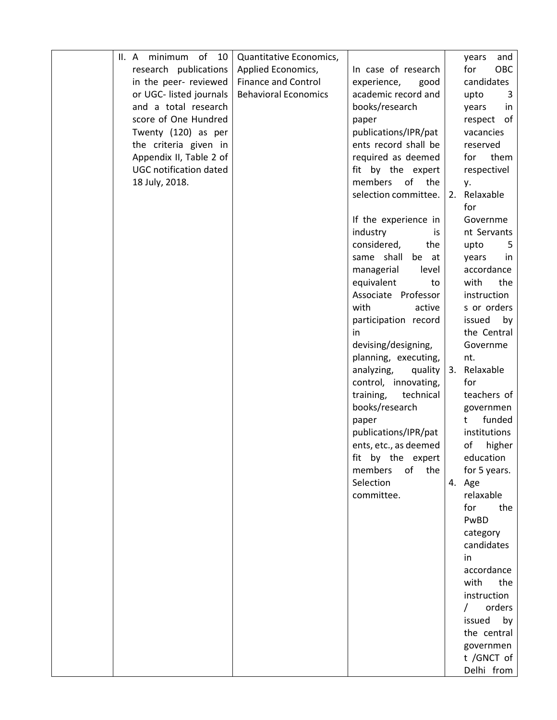| minimum of<br>10<br>II.A      | Quantitative Economics,     |                                          | and<br>years       |
|-------------------------------|-----------------------------|------------------------------------------|--------------------|
| research publications         | Applied Economics,          | In case of research                      | for<br>OBC         |
| in the peer- reviewed         | <b>Finance and Control</b>  | experience,<br>good                      | candidates         |
| or UGC- listed journals       | <b>Behavioral Economics</b> | academic record and                      | upto<br>3          |
| and a total research          |                             | books/research                           | years<br>in        |
| score of One Hundred          |                             | paper                                    | respect of         |
| Twenty (120) as per           |                             | publications/IPR/pat                     | vacancies          |
| the criteria given in         |                             | ents record shall be                     | reserved           |
| Appendix II, Table 2 of       |                             | required as deemed                       | them<br>for        |
| <b>UGC notification dated</b> |                             | fit by the expert                        | respectivel        |
| 18 July, 2018.                |                             | members<br>of<br>the                     | у.                 |
|                               |                             | selection committee.                     | 2. Relaxable       |
|                               |                             |                                          | for                |
|                               |                             | If the experience in                     | Governme           |
|                               |                             | industry<br>is                           | nt Servants        |
|                               |                             | considered,<br>the                       | upto<br>5          |
|                               |                             | same shall<br>be at                      | years<br>in        |
|                               |                             | managerial<br>level                      | accordance         |
|                               |                             | equivalent<br>to                         | with<br>the        |
|                               |                             | Associate Professor                      | instruction        |
|                               |                             | with<br>active                           | s or orders        |
|                               |                             | participation record                     | issued<br>by       |
|                               |                             | in                                       | the Central        |
|                               |                             | devising/designing,                      | Governme           |
|                               |                             | planning, executing,                     | nt.                |
|                               |                             | analyzing,<br>quality                    | Relaxable<br>3.    |
|                               |                             | control, innovating,                     | for<br>teachers of |
|                               |                             | training,<br>technical<br>books/research | governmen          |
|                               |                             |                                          | funded<br>t        |
|                               |                             | paper<br>publications/IPR/pat            | institutions       |
|                               |                             | ents, etc., as deemed                    | of<br>higher       |
|                               |                             | fit by the expert                        | education          |
|                               |                             | members<br>of the                        | for 5 years.       |
|                               |                             | Selection                                | 4. Age             |
|                               |                             | committee.                               | relaxable          |
|                               |                             |                                          | the<br>for         |
|                               |                             |                                          | PwBD               |
|                               |                             |                                          | category           |
|                               |                             |                                          | candidates         |
|                               |                             |                                          | in                 |
|                               |                             |                                          | accordance         |
|                               |                             |                                          | the<br>with        |
|                               |                             |                                          | instruction        |
|                               |                             |                                          | orders             |
|                               |                             |                                          | by<br>issued       |
|                               |                             |                                          | the central        |
|                               |                             |                                          | governmen          |
|                               |                             |                                          | t /GNCT of         |
|                               |                             |                                          | Delhi from         |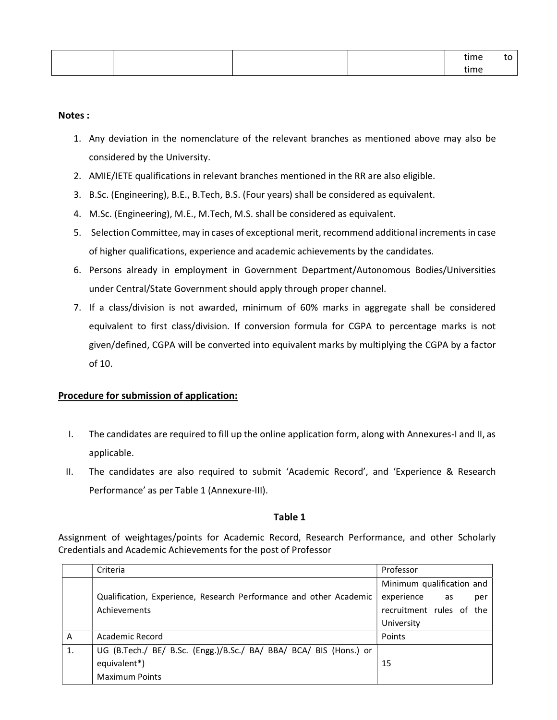|  |  | time |  |
|--|--|------|--|
|  |  | time |  |

#### Notes :

- 1. Any deviation in the nomenclature of the relevant branches as mentioned above may also be considered by the University.
- 2. AMIE/IETE qualifications in relevant branches mentioned in the RR are also eligible.
- 3. B.Sc. (Engineering), B.E., B.Tech, B.S. (Four years) shall be considered as equivalent.
- 4. M.Sc. (Engineering), M.E., M.Tech, M.S. shall be considered as equivalent.
- 5. Selection Committee, may in cases of exceptional merit, recommend additional increments in case of higher qualifications, experience and academic achievements by the candidates.
- 6. Persons already in employment in Government Department/Autonomous Bodies/Universities under Central/State Government should apply through proper channel.
- 7. If a class/division is not awarded, minimum of 60% marks in aggregate shall be considered equivalent to first class/division. If conversion formula for CGPA to percentage marks is not given/defined, CGPA will be converted into equivalent marks by multiplying the CGPA by a factor of 10.

### Procedure for submission of application:

- I. The candidates are required to fill up the online application form, along with Annexures-I and II, as applicable.
- II. The candidates are also required to submit 'Academic Record', and 'Experience & Research Performance' as per Table 1 (Annexure-III).

### Table 1

Assignment of weightages/points for Academic Record, Research Performance, and other Scholarly Credentials and Academic Achievements for the post of Professor

|    | Criteria                                                           | Professor                 |
|----|--------------------------------------------------------------------|---------------------------|
|    |                                                                    | Minimum qualification and |
|    | Qualification, Experience, Research Performance and other Academic | experience as<br>per      |
|    | Achievements                                                       | recruitment rules of the  |
|    |                                                                    | University                |
| A  | Academic Record                                                    | Points                    |
| 1. | UG (B.Tech./ BE/ B.Sc. (Engg.)/B.Sc./ BA/ BBA/ BCA/ BIS (Hons.) or |                           |
|    | equivalent*)                                                       | 15                        |
|    | <b>Maximum Points</b>                                              |                           |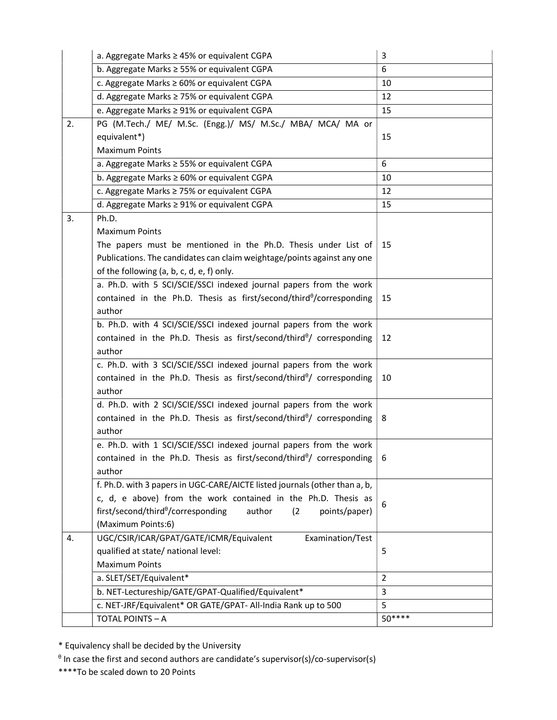| b. Aggregate Marks ≥ 55% or equivalent CGPA<br>6<br>c. Aggregate Marks ≥ 60% or equivalent CGPA<br>10<br>d. Aggregate Marks ≥ 75% or equivalent CGPA<br>12<br>e. Aggregate Marks ≥ 91% or equivalent CGPA<br>15<br>PG (M.Tech./ ME/ M.Sc. (Engg.)/ MS/ M.Sc./ MBA/ MCA/ MA or<br>2.<br>equivalent*)<br>15<br><b>Maximum Points</b><br>6<br>a. Aggregate Marks ≥ 55% or equivalent CGPA<br>b. Aggregate Marks ≥ 60% or equivalent CGPA<br>10<br>c. Aggregate Marks ≥ 75% or equivalent CGPA<br>12<br>d. Aggregate Marks ≥ 91% or equivalent CGPA<br>15<br>Ph.D.<br>3. |
|----------------------------------------------------------------------------------------------------------------------------------------------------------------------------------------------------------------------------------------------------------------------------------------------------------------------------------------------------------------------------------------------------------------------------------------------------------------------------------------------------------------------------------------------------------------------|
|                                                                                                                                                                                                                                                                                                                                                                                                                                                                                                                                                                      |
|                                                                                                                                                                                                                                                                                                                                                                                                                                                                                                                                                                      |
|                                                                                                                                                                                                                                                                                                                                                                                                                                                                                                                                                                      |
|                                                                                                                                                                                                                                                                                                                                                                                                                                                                                                                                                                      |
|                                                                                                                                                                                                                                                                                                                                                                                                                                                                                                                                                                      |
|                                                                                                                                                                                                                                                                                                                                                                                                                                                                                                                                                                      |
|                                                                                                                                                                                                                                                                                                                                                                                                                                                                                                                                                                      |
|                                                                                                                                                                                                                                                                                                                                                                                                                                                                                                                                                                      |
|                                                                                                                                                                                                                                                                                                                                                                                                                                                                                                                                                                      |
|                                                                                                                                                                                                                                                                                                                                                                                                                                                                                                                                                                      |
|                                                                                                                                                                                                                                                                                                                                                                                                                                                                                                                                                                      |
|                                                                                                                                                                                                                                                                                                                                                                                                                                                                                                                                                                      |
| <b>Maximum Points</b>                                                                                                                                                                                                                                                                                                                                                                                                                                                                                                                                                |
| The papers must be mentioned in the Ph.D. Thesis under List of<br>15                                                                                                                                                                                                                                                                                                                                                                                                                                                                                                 |
| Publications. The candidates can claim weightage/points against any one                                                                                                                                                                                                                                                                                                                                                                                                                                                                                              |
| of the following (a, b, c, d, e, f) only.                                                                                                                                                                                                                                                                                                                                                                                                                                                                                                                            |
| a. Ph.D. with 5 SCI/SCIE/SSCI indexed journal papers from the work                                                                                                                                                                                                                                                                                                                                                                                                                                                                                                   |
| contained in the Ph.D. Thesis as first/second/third $\theta$ /corresponding<br>15                                                                                                                                                                                                                                                                                                                                                                                                                                                                                    |
| author                                                                                                                                                                                                                                                                                                                                                                                                                                                                                                                                                               |
| b. Ph.D. with 4 SCI/SCIE/SSCI indexed journal papers from the work                                                                                                                                                                                                                                                                                                                                                                                                                                                                                                   |
| contained in the Ph.D. Thesis as first/second/third <sup>0</sup> / corresponding<br>12                                                                                                                                                                                                                                                                                                                                                                                                                                                                               |
| author                                                                                                                                                                                                                                                                                                                                                                                                                                                                                                                                                               |
| c. Ph.D. with 3 SCI/SCIE/SSCI indexed journal papers from the work                                                                                                                                                                                                                                                                                                                                                                                                                                                                                                   |
| contained in the Ph.D. Thesis as first/second/third $\theta$ / corresponding<br>10<br>author                                                                                                                                                                                                                                                                                                                                                                                                                                                                         |
| d. Ph.D. with 2 SCI/SCIE/SSCI indexed journal papers from the work                                                                                                                                                                                                                                                                                                                                                                                                                                                                                                   |
| contained in the Ph.D. Thesis as first/second/third $\theta$ corresponding<br>8                                                                                                                                                                                                                                                                                                                                                                                                                                                                                      |
| author                                                                                                                                                                                                                                                                                                                                                                                                                                                                                                                                                               |
| e. Ph.D. with 1 SCI/SCIE/SSCI indexed journal papers from the work                                                                                                                                                                                                                                                                                                                                                                                                                                                                                                   |
| contained in the Ph.D. Thesis as first/second/third $\theta$ / corresponding                                                                                                                                                                                                                                                                                                                                                                                                                                                                                         |
| author                                                                                                                                                                                                                                                                                                                                                                                                                                                                                                                                                               |
| f. Ph.D. with 3 papers in UGC-CARE/AICTE listed journals (other than a, b,                                                                                                                                                                                                                                                                                                                                                                                                                                                                                           |
| c, d, e above) from the work contained in the Ph.D. Thesis as                                                                                                                                                                                                                                                                                                                                                                                                                                                                                                        |
| 6<br>first/second/third <sup>0</sup> /corresponding<br>author<br>(2)<br>points/paper)                                                                                                                                                                                                                                                                                                                                                                                                                                                                                |
| (Maximum Points:6)                                                                                                                                                                                                                                                                                                                                                                                                                                                                                                                                                   |
| UGC/CSIR/ICAR/GPAT/GATE/ICMR/Equivalent<br>Examination/Test<br>4.                                                                                                                                                                                                                                                                                                                                                                                                                                                                                                    |
| qualified at state/ national level:<br>5                                                                                                                                                                                                                                                                                                                                                                                                                                                                                                                             |
| <b>Maximum Points</b>                                                                                                                                                                                                                                                                                                                                                                                                                                                                                                                                                |
| $\overline{2}$<br>a. SLET/SET/Equivalent*                                                                                                                                                                                                                                                                                                                                                                                                                                                                                                                            |
| b. NET-Lectureship/GATE/GPAT-Qualified/Equivalent*<br>3                                                                                                                                                                                                                                                                                                                                                                                                                                                                                                              |
| 5<br>c. NET-JRF/Equivalent* OR GATE/GPAT- All-India Rank up to 500                                                                                                                                                                                                                                                                                                                                                                                                                                                                                                   |
| $50***$<br>TOTAL POINTS - A                                                                                                                                                                                                                                                                                                                                                                                                                                                                                                                                          |

\* Equivalency shall be decided by the University

 $\theta$  In case the first and second authors are candidate's supervisor(s)/co-supervisor(s)

\*\*\*\*To be scaled down to 20 Points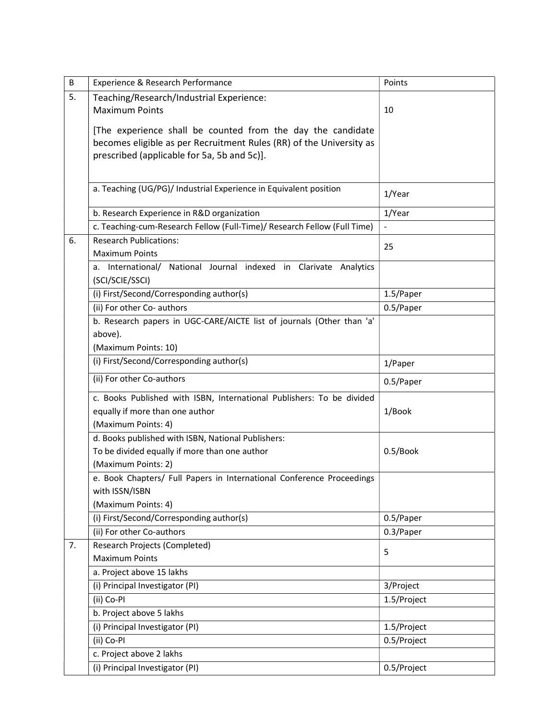| B  | Experience & Research Performance                                                                                                                                                 | Points      |
|----|-----------------------------------------------------------------------------------------------------------------------------------------------------------------------------------|-------------|
| 5. | Teaching/Research/Industrial Experience:                                                                                                                                          |             |
|    | <b>Maximum Points</b>                                                                                                                                                             | 10          |
|    | [The experience shall be counted from the day the candidate<br>becomes eligible as per Recruitment Rules (RR) of the University as<br>prescribed (applicable for 5a, 5b and 5c)]. |             |
|    | a. Teaching (UG/PG)/ Industrial Experience in Equivalent position                                                                                                                 | 1/Year      |
|    | b. Research Experience in R&D organization                                                                                                                                        | 1/Year      |
|    | c. Teaching-cum-Research Fellow (Full-Time)/ Research Fellow (Full Time)                                                                                                          |             |
| 6. | <b>Research Publications:</b>                                                                                                                                                     |             |
|    | <b>Maximum Points</b>                                                                                                                                                             | 25          |
|    | National Journal indexed in Clarivate Analytics<br>a. International/<br>(SCI/SCIE/SSCI)                                                                                           |             |
|    | (i) First/Second/Corresponding author(s)                                                                                                                                          | 1.5/Paper   |
|    | (ii) For other Co- authors                                                                                                                                                        | 0.5/Paper   |
|    | b. Research papers in UGC-CARE/AICTE list of journals (Other than 'a'<br>above).                                                                                                  |             |
|    | (Maximum Points: 10)                                                                                                                                                              |             |
|    | (i) First/Second/Corresponding author(s)                                                                                                                                          | 1/Paper     |
|    | (ii) For other Co-authors                                                                                                                                                         | 0.5/Paper   |
|    | c. Books Published with ISBN, International Publishers: To be divided<br>equally if more than one author<br>(Maximum Points: 4)                                                   | 1/Book      |
|    | d. Books published with ISBN, National Publishers:                                                                                                                                |             |
|    | To be divided equally if more than one author<br>(Maximum Points: 2)                                                                                                              | 0.5/Book    |
|    | e. Book Chapters/ Full Papers in International Conference Proceedings<br>with ISSN/ISBN<br>(Maximum Points: 4)                                                                    |             |
|    | (i) First/Second/Corresponding author(s)                                                                                                                                          | 0.5/Paper   |
|    | (ii) For other Co-authors                                                                                                                                                         | 0.3/Paper   |
| 7. | Research Projects (Completed)                                                                                                                                                     | 5           |
|    | <b>Maximum Points</b>                                                                                                                                                             |             |
|    | a. Project above 15 lakhs                                                                                                                                                         |             |
|    | (i) Principal Investigator (PI)                                                                                                                                                   | 3/Project   |
|    | (ii) Co-Pl                                                                                                                                                                        | 1.5/Project |
|    | b. Project above 5 lakhs                                                                                                                                                          |             |
|    | (i) Principal Investigator (PI)                                                                                                                                                   | 1.5/Project |
|    | (ii) Co-Pl                                                                                                                                                                        | 0.5/Project |
|    | c. Project above 2 lakhs                                                                                                                                                          |             |
|    | (i) Principal Investigator (PI)                                                                                                                                                   | 0.5/Project |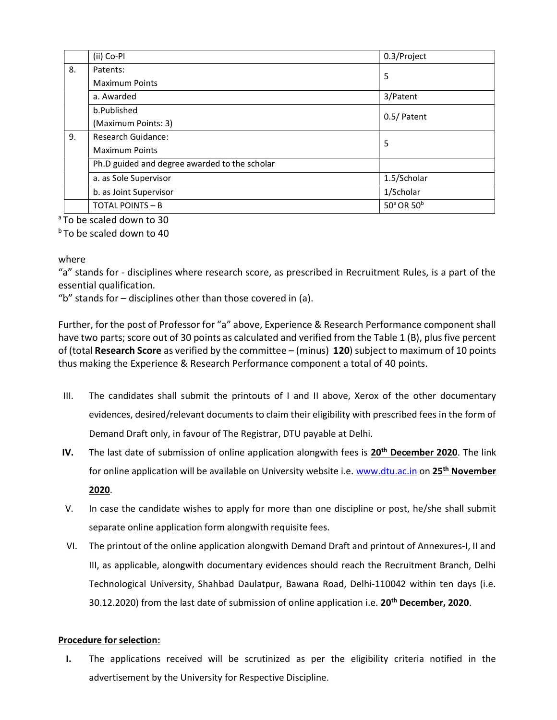|    | (ii) Co-Pl                                    | 0.3/Project                        |
|----|-----------------------------------------------|------------------------------------|
| 8. | Patents:                                      | 5                                  |
|    | <b>Maximum Points</b>                         |                                    |
|    | a. Awarded                                    | 3/Patent                           |
|    | b.Published                                   | 0.5/ Patent                        |
|    | (Maximum Points: 3)                           |                                    |
| 9. | <b>Research Guidance:</b>                     | 5                                  |
|    | <b>Maximum Points</b>                         |                                    |
|    | Ph.D guided and degree awarded to the scholar |                                    |
|    | a. as Sole Supervisor                         | 1.5/Scholar                        |
|    | b. as Joint Supervisor                        | 1/Scholar                          |
|    | <b>TOTAL POINTS - B</b>                       | 50 <sup>ª</sup> OR 50 <sup>b</sup> |

<sup>a</sup>To be scaled down to 30

**bTo be scaled down to 40** 

where

"a" stands for - disciplines where research score, as prescribed in Recruitment Rules, is a part of the essential qualification.

"b" stands for  $-$  disciplines other than those covered in (a).

Further, for the post of Professor for "a" above, Experience & Research Performance component shall have two parts; score out of 30 points as calculated and verified from the Table 1 (B), plus five percent of (total Research Score as verified by the committee – (minus)  $120$ ) subject to maximum of 10 points thus making the Experience & Research Performance component a total of 40 points.

- III. The candidates shall submit the printouts of I and II above, Xerox of the other documentary evidences, desired/relevant documents to claim their eligibility with prescribed fees in the form of Demand Draft only, in favour of The Registrar, DTU payable at Delhi.
- IV. The last date of submission of online application alongwith fees is 20<sup>th</sup> December 2020. The link for online application will be available on University website i.e. www.dtu.ac.in on 25<sup>th</sup> November 2020.
- V. In case the candidate wishes to apply for more than one discipline or post, he/she shall submit separate online application form alongwith requisite fees.
- VI. The printout of the online application alongwith Demand Draft and printout of Annexures-I, II and III, as applicable, alongwith documentary evidences should reach the Recruitment Branch, Delhi Technological University, Shahbad Daulatpur, Bawana Road, Delhi-110042 within ten days (i.e. 30.12.2020) from the last date of submission of online application i.e. 20<sup>th</sup> December, 2020.

### Procedure for selection:

I. The applications received will be scrutinized as per the eligibility criteria notified in the advertisement by the University for Respective Discipline.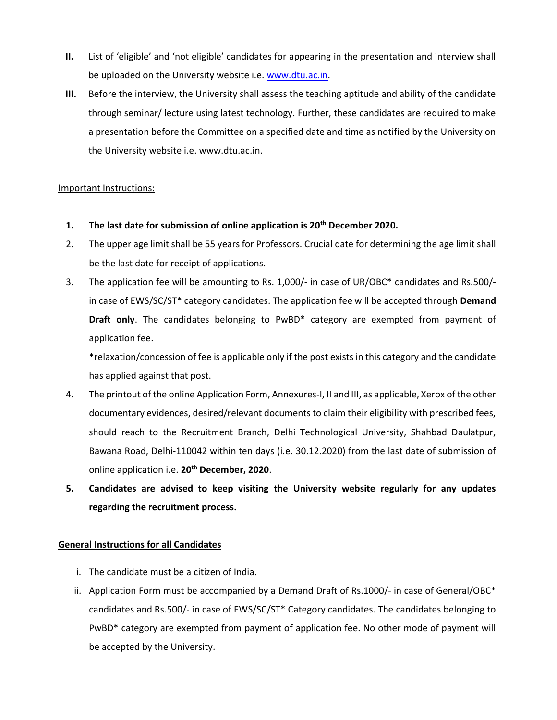- II. List of 'eligible' and 'not eligible' candidates for appearing in the presentation and interview shall be uploaded on the University website i.e. www.dtu.ac.in.
- III. Before the interview, the University shall assess the teaching aptitude and ability of the candidate through seminar/ lecture using latest technology. Further, these candidates are required to make a presentation before the Committee on a specified date and time as notified by the University on the University website i.e. www.dtu.ac.in.

### Important Instructions:

- 1. The last date for submission of online application is 20<sup>th</sup> December 2020.
- 2. The upper age limit shall be 55 years for Professors. Crucial date for determining the age limit shall be the last date for receipt of applications.
- 3. The application fee will be amounting to Rs. 1,000/- in case of UR/OBC\* candidates and Rs.500/ in case of EWS/SC/ST\* category candidates. The application fee will be accepted through Demand Draft only. The candidates belonging to PwBD\* category are exempted from payment of application fee.

\*relaxation/concession of fee is applicable only if the post exists in this category and the candidate has applied against that post.

- 4. The printout of the online Application Form, Annexures-I, II and III, as applicable, Xerox of the other documentary evidences, desired/relevant documents to claim their eligibility with prescribed fees, should reach to the Recruitment Branch, Delhi Technological University, Shahbad Daulatpur, Bawana Road, Delhi-110042 within ten days (i.e. 30.12.2020) from the last date of submission of online application i.e. 20<sup>th</sup> December, 2020.
- 5. Candidates are advised to keep visiting the University website regularly for any updates regarding the recruitment process.

### General Instructions for all Candidates

- i. The candidate must be a citizen of India.
- ii. Application Form must be accompanied by a Demand Draft of Rs.1000/- in case of General/OBC\* candidates and Rs.500/- in case of EWS/SC/ST\* Category candidates. The candidates belonging to PwBD\* category are exempted from payment of application fee. No other mode of payment will be accepted by the University.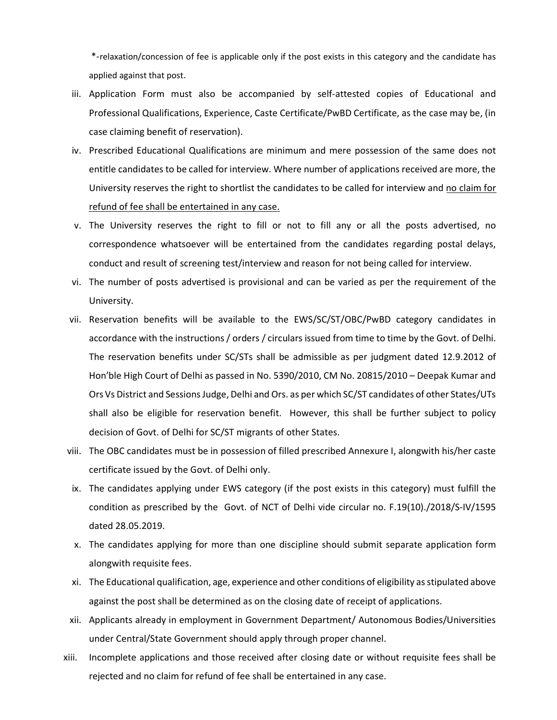\*-relaxation/concession of fee is applicable only if the post exists in this category and the candidate has applied against that post.

- iii. Application Form must also be accompanied by self-attested copies of Educational and Professional Qualifications, Experience, Caste Certificate/PwBD Certificate, as the case may be, (in case claiming benefit of reservation).
- iv. Prescribed Educational Qualifications are minimum and mere possession of the same does not entitle candidates to be called for interview. Where number of applications received are more, the University reserves the right to shortlist the candidates to be called for interview and no claim for refund of fee shall be entertained in any case.
- v. The University reserves the right to fill or not to fill any or all the posts advertised, no correspondence whatsoever will be entertained from the candidates regarding postal delays, conduct and result of screening test/interview and reason for not being called for interview.
- vi. The number of posts advertised is provisional and can be varied as per the requirement of the University.
- vii. Reservation benefits will be available to the EWS/SC/ST/OBC/PwBD category candidates in accordance with the instructions / orders / circulars issued from time to time by the Govt. of Delhi. The reservation benefits under SC/STs shall be admissible as per judgment dated 12.9.2012 of Hon'ble High Court of Delhi as passed in No. 5390/2010, CM No. 20815/2010 – Deepak Kumar and Ors Vs District and Sessions Judge, Delhi and Ors. as per which SC/ST candidates of other States/UTs shall also be eligible for reservation benefit. However, this shall be further subject to policy decision of Govt. of Delhi for SC/ST migrants of other States.
- viii. The OBC candidates must be in possession of filled prescribed Annexure I, alongwith his/her caste certificate issued by the Govt. of Delhi only.
- ix. The candidates applying under EWS category (if the post exists in this category) must fulfill the condition as prescribed by the Govt. of NCT of Delhi vide circular no. F.19(10)./2018/S-IV/1595 dated 28.05.2019.
- x. The candidates applying for more than one discipline should submit separate application form alongwith requisite fees.
- xi. The Educational qualification, age, experience and other conditions of eligibility as stipulated above against the post shall be determined as on the closing date of receipt of applications.
- xii. Applicants already in employment in Government Department/ Autonomous Bodies/Universities under Central/State Government should apply through proper channel.
- xiii. Incomplete applications and those received after closing date or without requisite fees shall be rejected and no claim for refund of fee shall be entertained in any case.